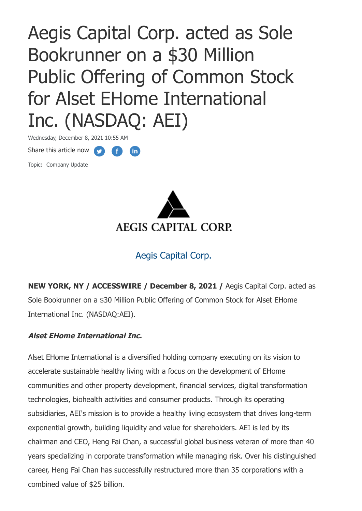Aegis Capital Corp. acted as Sole Bookrunner on a \$30 Million Public Offering of Common Stock for Alset EHome International Inc. (NASDAQ: AEI)

**fin** 

Share this article now **A** Wednesday, December 8, 2021 10:55 AM

Topic: Company Update



## Aegis Capital Corp.

**NEW YORK, NY / ACCESSWIRE / December 8, 2021 /** Aegis Capital Corp. acted as Sole Bookrunner on a \$30 Million Public Offering of Common Stock for Alset EHome International Inc. (NASDAQ:AEI).

## **Alset EHome International Inc.**

Alset EHome International is a diversified holding company executing on its vision to accelerate sustainable healthy living with a focus on the development of EHome communities and other property development, financial services, digital transformation technologies, biohealth activities and consumer products. Through its operating subsidiaries, AEI's mission is to provide a healthy living ecosystem that drives long-term exponential growth, building liquidity and value for shareholders. AEI is led by its chairman and CEO, Heng Fai Chan, a successful global business veteran of more than 40 years specializing in corporate transformation while managing risk. Over his distinguished career, Heng Fai Chan has successfully restructured more than 35 corporations with a combined value of \$25 billion.